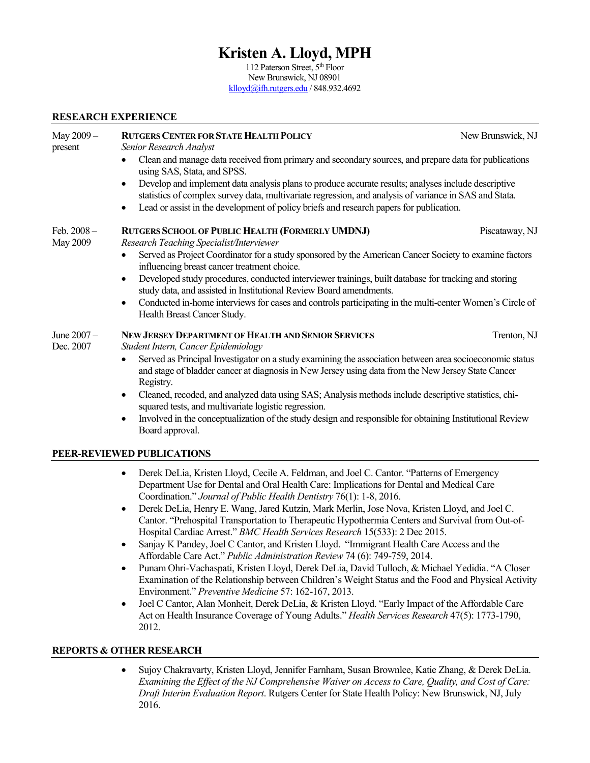# **Kristen A. Lloyd, MPH**

112 Paterson Street, 5<sup>th</sup> Floor New Brunswick, NJ 08901 [klloyd@ifh.rutgers.edu](mailto:klloyd@ifh.rutgers.edu) / 848.932.4692

#### **RESEARCH EXPERIENCE**

| May 2009-<br>present    | <b>RUTGERS CENTER FOR STATE HEALTH POLICY</b><br>Senior Research Analyst                                                                                                                                                   | New Brunswick, NJ |  |
|-------------------------|----------------------------------------------------------------------------------------------------------------------------------------------------------------------------------------------------------------------------|-------------------|--|
|                         | Clean and manage data received from primary and secondary sources, and prepare data for publications<br>using SAS, Stata, and SPSS.                                                                                        |                   |  |
|                         | Develop and implement data analysis plans to produce accurate results; analyses include descriptive<br>$\bullet$<br>statistics of complex survey data, multivariate regression, and analysis of variance in SAS and Stata. |                   |  |
|                         | Lead or assist in the development of policy briefs and research papers for publication.                                                                                                                                    |                   |  |
| Feb. 2008-<br>May 2009  | RUTGERS SCHOOL OF PUBLIC HEALTH (FORMERLY UMDNJ)<br>Research Teaching Specialist/Interviewer                                                                                                                               | Piscataway, NJ    |  |
|                         | Served as Project Coordinator for a study sponsored by the American Cancer Society to examine factors<br>influencing breast cancer treatment choice.                                                                       |                   |  |
|                         | Developed study procedures, conducted interviewer trainings, built database for tracking and storing<br>study data, and assisted in Institutional Review Board amendments.                                                 |                   |  |
|                         | Conducted in-home interviews for cases and controls participating in the multi-center Women's Circle of<br>$\bullet$<br>Health Breast Cancer Study.                                                                        |                   |  |
| June 2007-<br>Dec. 2007 | <b>NEW JERSEY DEPARTMENT OF HEALTH AND SENIOR SERVICES</b><br>Student Intern, Cancer Epidemiology                                                                                                                          | Trenton, NJ       |  |
|                         | Served as Principal Investigator on a study examining the association between area socioeconomic status<br>and stage of bladder cancer at diagnosis in New Jersey using data from the New Jersey State Cancer<br>Registry. |                   |  |
|                         | Cleaned, recoded, and analyzed data using SAS; Analysis methods include descriptive statistics, chi-<br>$\bullet$<br>squared tests, and multivariate logistic regression.                                                  |                   |  |
|                         | Involved in the conceptualization of the study design and responsible for obtaining Institutional Review<br>$\bullet$<br>Board approval.                                                                                   |                   |  |

#### **PEER-REVIEWED PUBLICATIONS**

- Derek DeLia, Kristen Lloyd, Cecile A. Feldman, and Joel C. Cantor. "Patterns of Emergency Department Use for Dental and Oral Health Care: Implications for Dental and Medical Care Coordination." *Journal of Public Health Dentistry* 76(1): 1-8, 2016.
- Derek DeLia, Henry E. Wang, Jared Kutzin, Mark Merlin, Jose Nova, Kristen Lloyd, and Joel C. Cantor. "Prehospital Transportation to Therapeutic Hypothermia Centers and Survival from Out-of-Hospital Cardiac Arrest." *BMC Health Services Research* 15(533): 2 Dec 2015.
- Sanjay K Pandey, Joel C Cantor, and Kristen Lloyd. "Immigrant Health Care Access and the Affordable Care Act." *Public Administration Review* 74 (6): 749-759, 2014.
- Punam Ohri-Vachaspati, Kristen Lloyd, Derek DeLia, David Tulloch, & Michael Yedidia. "A Closer Examination of the Relationship between Children's Weight Status and the Food and Physical Activity Environment." *Preventive Medicine* 57: 162-167, 2013.
- Joel C Cantor, Alan Monheit, Derek DeLia, & Kristen Lloyd. "Early Impact of the Affordable Care Act on Health Insurance Coverage of Young Adults." *Health Services Research* 47(5): 1773-1790, 2012.

#### **REPORTS & OTHER RESEARCH**

• Sujoy Chakravarty, Kristen Lloyd, Jennifer Farnham, Susan Brownlee, Katie Zhang, & Derek DeLia. *Examining the Effect of the NJ Comprehensive Waiver on Access to Care, Quality, and Cost of Care: Draft Interim Evaluation Report*. Rutgers Center for State Health Policy: New Brunswick, NJ, July 2016.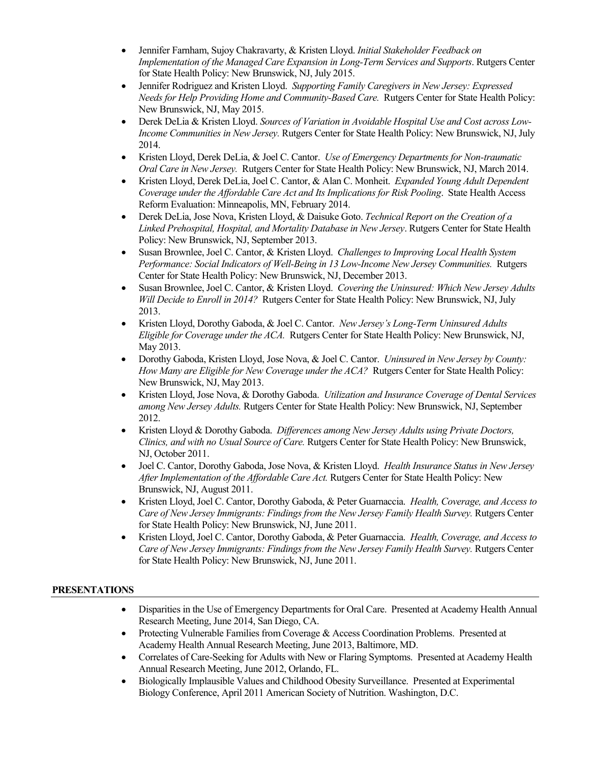- Jennifer Farnham, Sujoy Chakravarty, & Kristen Lloyd. *Initial Stakeholder Feedback on Implementation of the Managed Care Expansion in Long-Term Services and Supports*. Rutgers Center for State Health Policy: New Brunswick, NJ, July 2015.
- Jennifer Rodriguez and Kristen Lloyd. *Supporting Family Caregivers in New Jersey: Expressed Needs for Help Providing Home and Community-Based Care.* Rutgers Center for State Health Policy: New Brunswick, NJ, May 2015.
- Derek DeLia & Kristen Lloyd. *Sources of Variation in Avoidable Hospital Use and Cost across Low-Income Communities in New Jersey.* Rutgers Center for State Health Policy: New Brunswick, NJ, July 2014.
- Kristen Lloyd, Derek DeLia, & Joel C. Cantor. *Use of Emergency Departments for Non-traumatic Oral Care in New Jersey.* Rutgers Center for State Health Policy: New Brunswick, NJ, March 2014.
- Kristen Lloyd, Derek DeLia, Joel C. Cantor, & Alan C. Monheit. *Expanded Young Adult Dependent Coverage under the Affordable Care Act and Its Implications for Risk Pooling*. State Health Access Reform Evaluation: Minneapolis, MN, February 2014.
- Derek DeLia, Jose Nova, Kristen Lloyd, & Daisuke Goto. *Technical Report on the Creation of a Linked Prehospital, Hospital, and Mortality Database in New Jersey*. Rutgers Center for State Health Policy: New Brunswick, NJ, September 2013.
- Susan Brownlee, Joel C. Cantor, & Kristen Lloyd. *Challenges to Improving Local Health System Performance: Social Indicators of Well-Being in 13 Low-Income New Jersey Communities.* Rutgers Center for State Health Policy: New Brunswick, NJ, December 2013.
- Susan Brownlee, Joel C. Cantor, & Kristen Lloyd. *Covering the Uninsured: Which New Jersey Adults Will Decide to Enroll in 2014?* Rutgers Center for State Health Policy: New Brunswick, NJ, July 2013.
- Kristen Lloyd, Dorothy Gaboda, & Joel C. Cantor. *New Jersey's Long-Term Uninsured Adults Eligible for Coverage under the ACA.* Rutgers Center for State Health Policy: New Brunswick, NJ, May 2013.
- Dorothy Gaboda, Kristen Lloyd, Jose Nova, & Joel C. Cantor. *Uninsured in New Jersey by County: How Many are Eligible for New Coverage under the ACA?* Rutgers Center for State Health Policy: New Brunswick, NJ, May 2013.
- Kristen Lloyd, Jose Nova, & Dorothy Gaboda. *Utilization and Insurance Coverage of Dental Services among New Jersey Adults.* Rutgers Center for State Health Policy: New Brunswick, NJ, September 2012.
- Kristen Lloyd & Dorothy Gaboda. *Differences among New Jersey Adults using Private Doctors, Clinics, and with no Usual Source of Care.* Rutgers Center for State Health Policy: New Brunswick, NJ, October 2011.
- Joel C. Cantor, Dorothy Gaboda, Jose Nova, & Kristen Lloyd. *Health Insurance Status in New Jersey After Implementation of the Affordable Care Act.* Rutgers Center for State Health Policy: New Brunswick, NJ, August 2011.
- Kristen Lloyd, Joel C. Cantor, Dorothy Gaboda, & Peter Guarnaccia. *Health, Coverage, and Access to Care of New Jersey Immigrants: Findings from the New Jersey Family Health Survey. Rutgers Center* for State Health Policy: New Brunswick, NJ, June 2011.
- Kristen Lloyd, Joel C. Cantor, Dorothy Gaboda, & Peter Guarnaccia. *Health, Coverage, and Access to Care of New Jersey Immigrants: Findings from the New Jersey Family Health Survey.* Rutgers Center for State Health Policy: New Brunswick, NJ, June 2011.

### **PRESENTATIONS**

- Disparities in the Use of Emergency Departments for Oral Care. Presented at Academy Health Annual Research Meeting, June 2014, San Diego, CA.
- Protecting Vulnerable Families from Coverage & Access Coordination Problems. Presented at Academy Health Annual Research Meeting, June 2013, Baltimore, MD.
- Correlates of Care-Seeking for Adults with New or Flaring Symptoms. Presented at Academy Health Annual Research Meeting, June 2012, Orlando, FL.
- Biologically Implausible Values and Childhood Obesity Surveillance. Presented at Experimental Biology Conference, April 2011 American Society of Nutrition. Washington, D.C.